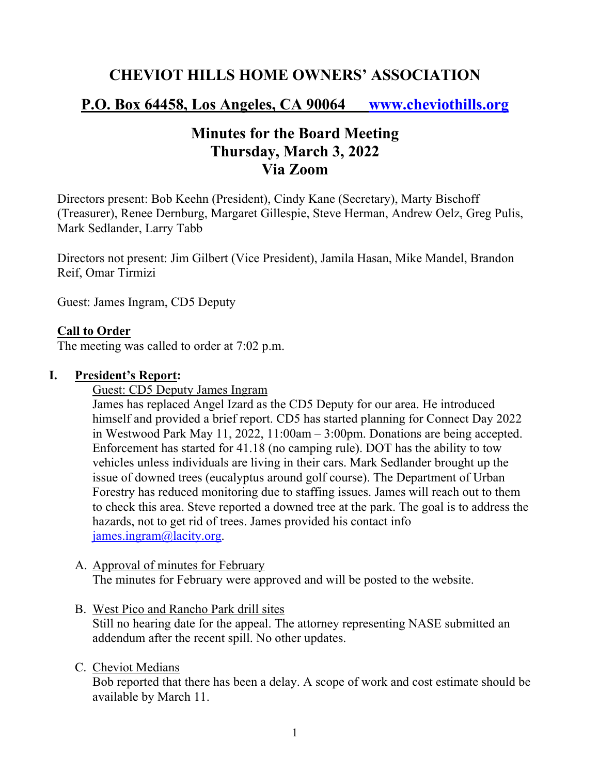## **CHEVIOT HILLS HOME OWNERS' ASSOCIATION**

## **P.O. Box 64458, Los Angeles, CA 90064 www.cheviothills.org**

# **Minutes for the Board Meeting Thursday, March 3, 2022 Via Zoom**

Directors present: Bob Keehn (President), Cindy Kane (Secretary), Marty Bischoff (Treasurer), Renee Dernburg, Margaret Gillespie, Steve Herman, Andrew Oelz, Greg Pulis, Mark Sedlander, Larry Tabb

Directors not present: Jim Gilbert (Vice President), Jamila Hasan, Mike Mandel, Brandon Reif, Omar Tirmizi

Guest: James Ingram, CD5 Deputy

### **Call to Order**

The meeting was called to order at 7:02 p.m.

#### **I. President's Report:**

Guest: CD5 Deputy James Ingram

James has replaced Angel Izard as the CD5 Deputy for our area. He introduced himself and provided a brief report. CD5 has started planning for Connect Day 2022 in Westwood Park May 11, 2022, 11:00am – 3:00pm. Donations are being accepted. Enforcement has started for 41.18 (no camping rule). DOT has the ability to tow vehicles unless individuals are living in their cars. Mark Sedlander brought up the issue of downed trees (eucalyptus around golf course). The Department of Urban Forestry has reduced monitoring due to staffing issues. James will reach out to them to check this area. Steve reported a downed tree at the park. The goal is to address the hazards, not to get rid of trees. James provided his contact info james.ingram@lacity.org.

- A. Approval of minutes for February The minutes for February were approved and will be posted to the website.
- B. West Pico and Rancho Park drill sites Still no hearing date for the appeal. The attorney representing NASE submitted an addendum after the recent spill. No other updates.

#### C. Cheviot Medians

Bob reported that there has been a delay. A scope of work and cost estimate should be available by March 11.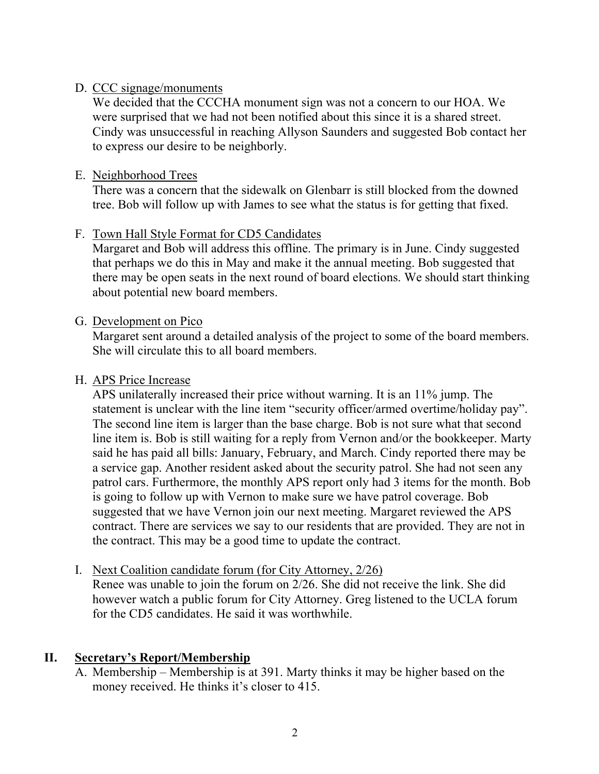### D. CCC signage/monuments

We decided that the CCCHA monument sign was not a concern to our HOA. We were surprised that we had not been notified about this since it is a shared street. Cindy was unsuccessful in reaching Allyson Saunders and suggested Bob contact her to express our desire to be neighborly.

### E. Neighborhood Trees

There was a concern that the sidewalk on Glenbarr is still blocked from the downed tree. Bob will follow up with James to see what the status is for getting that fixed.

### F. Town Hall Style Format for CD5 Candidates

Margaret and Bob will address this offline. The primary is in June. Cindy suggested that perhaps we do this in May and make it the annual meeting. Bob suggested that there may be open seats in the next round of board elections. We should start thinking about potential new board members.

### G. Development on Pico

Margaret sent around a detailed analysis of the project to some of the board members. She will circulate this to all board members.

### H. APS Price Increase

APS unilaterally increased their price without warning. It is an 11% jump. The statement is unclear with the line item "security officer/armed overtime/holiday pay". The second line item is larger than the base charge. Bob is not sure what that second line item is. Bob is still waiting for a reply from Vernon and/or the bookkeeper. Marty said he has paid all bills: January, February, and March. Cindy reported there may be a service gap. Another resident asked about the security patrol. She had not seen any patrol cars. Furthermore, the monthly APS report only had 3 items for the month. Bob is going to follow up with Vernon to make sure we have patrol coverage. Bob suggested that we have Vernon join our next meeting. Margaret reviewed the APS contract. There are services we say to our residents that are provided. They are not in the contract. This may be a good time to update the contract.

### I. Next Coalition candidate forum (for City Attorney, 2/26)

Renee was unable to join the forum on 2/26. She did not receive the link. She did however watch a public forum for City Attorney. Greg listened to the UCLA forum for the CD5 candidates. He said it was worthwhile.

## **II. Secretary's Report/Membership**

A. Membership – Membership is at 391. Marty thinks it may be higher based on the money received. He thinks it's closer to 415.